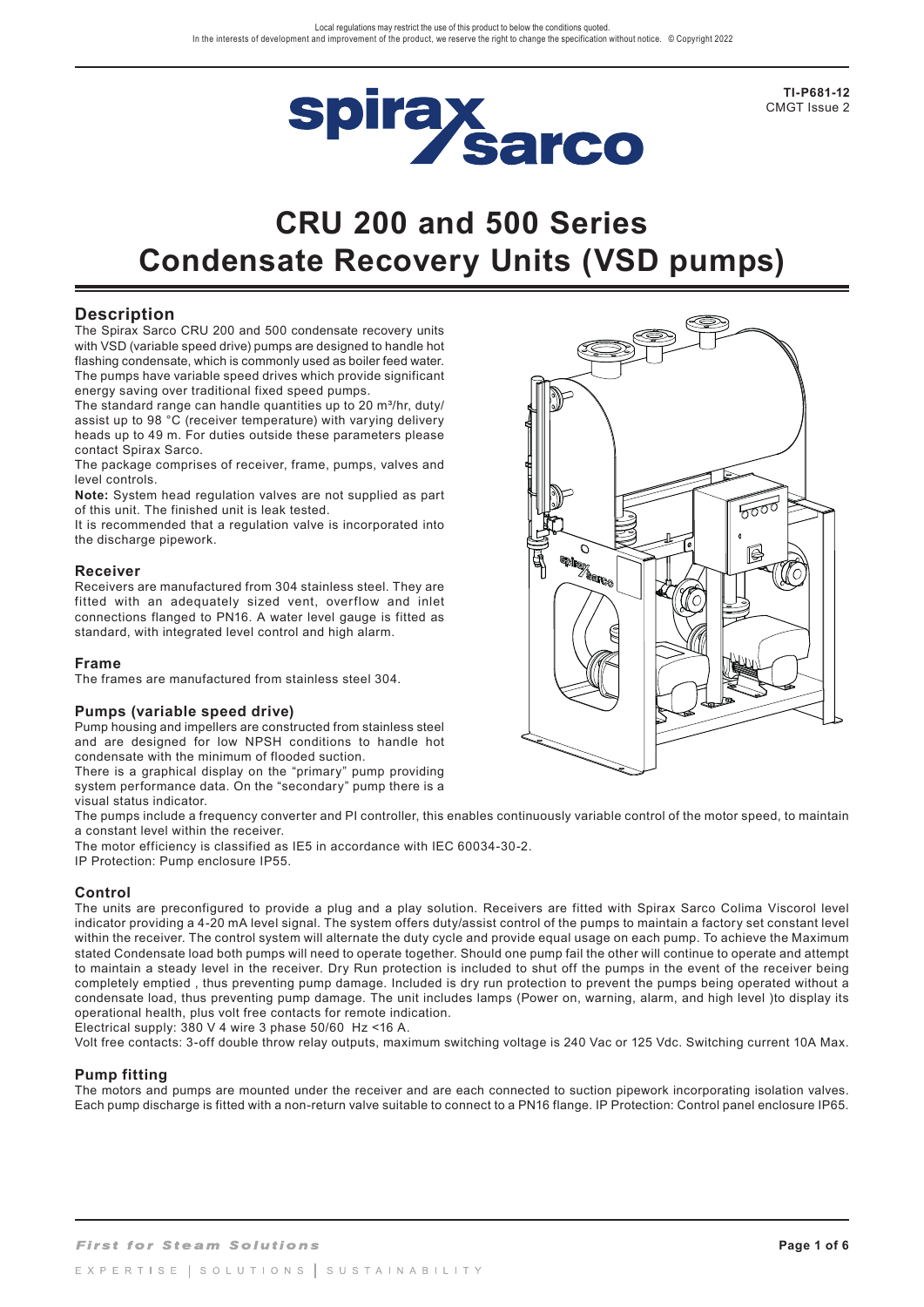

**TI-P681-12** CMGT Issue 2

# **CRU 200 and 500 Series Condensate Recovery Units (VSD pumps)**

### **Description**

The Spirax Sarco CRU 200 and 500 condensate recovery units with VSD (variable speed drive) pumps are designed to handle hot flashing condensate, which is commonly used as boiler feed water. The pumps have variable speed drives which provide significant energy saving over traditional fixed speed pumps.

The standard range can handle quantities up to 20  $m^3/hr$ , duty/ assist up to 98 °C (receiver temperature) with varying delivery heads up to 49 m. For duties outside these parameters please contact Spirax Sarco.

The package comprises of receiver, frame, pumps, valves and level controls.

**Note:** System head regulation valves are not supplied as part of this unit. The finished unit is leak tested.

It is recommended that a regulation valve is incorporated into the discharge pipework.

#### **Receiver**

Receivers are manufactured from 304 stainless steel. They are fitted with an adequately sized vent, overflow and inlet connections flanged to PN16. A water level gauge is fitted as standard, with integrated level control and high alarm.

#### **Frame**

The frames are manufactured from stainless steel 304.

#### **Pumps (variable speed drive)**

Pump housing and impellers are constructed from stainless steel and are designed for low NPSH conditions to handle hot condensate with the minimum of flooded suction.

There is a graphical display on the "primary" pump providing system performance data. On the "secondary" pump there is a visual status indicator.

The pumps include a frequency converter and PI controller, this enables continuously variable control of the motor speed, to maintain a constant level within the receiver.

The motor efficiency is classified as IE5 in accordance with IEC 60034-30-2.

IP Protection: Pump enclosure IP55.

#### **Control**

The units are preconfigured to provide a plug and a play solution. Receivers are fitted with Spirax Sarco Colima Viscorol level indicator providing a 4-20 mA level signal. The system offers duty/assist control of the pumps to maintain a factory set constant level within the receiver. The control system will alternate the duty cycle and provide equal usage on each pump. To achieve the Maximum stated Condensate load both pumps will need to operate together. Should one pump fail the other will continue to operate and attempt to maintain a steady level in the receiver. Dry Run protection is included to shut off the pumps in the event of the receiver being completely emptied , thus preventing pump damage. Included is dry run protection to prevent the pumps being operated without a condensate load, thus preventing pump damage. The unit includes lamps (Power on, warning, alarm, and high level )to display its operational health, plus volt free contacts for remote indication.

Electrical supply: 380 V 4 wire 3 phase 50/60 Hz <16 A.

Volt free contacts: 3-off double throw relay outputs, maximum switching voltage is 240 Vac or 125 Vdc. Switching current 10A Max.

#### **Pump fitting**

The motors and pumps are mounted under the receiver and are each connected to suction pipework incorporating isolation valves. Each pump discharge is fitted with a non-return valve suitable to connect to a PN16 flange. IP Protection: Control panel enclosure IP65.

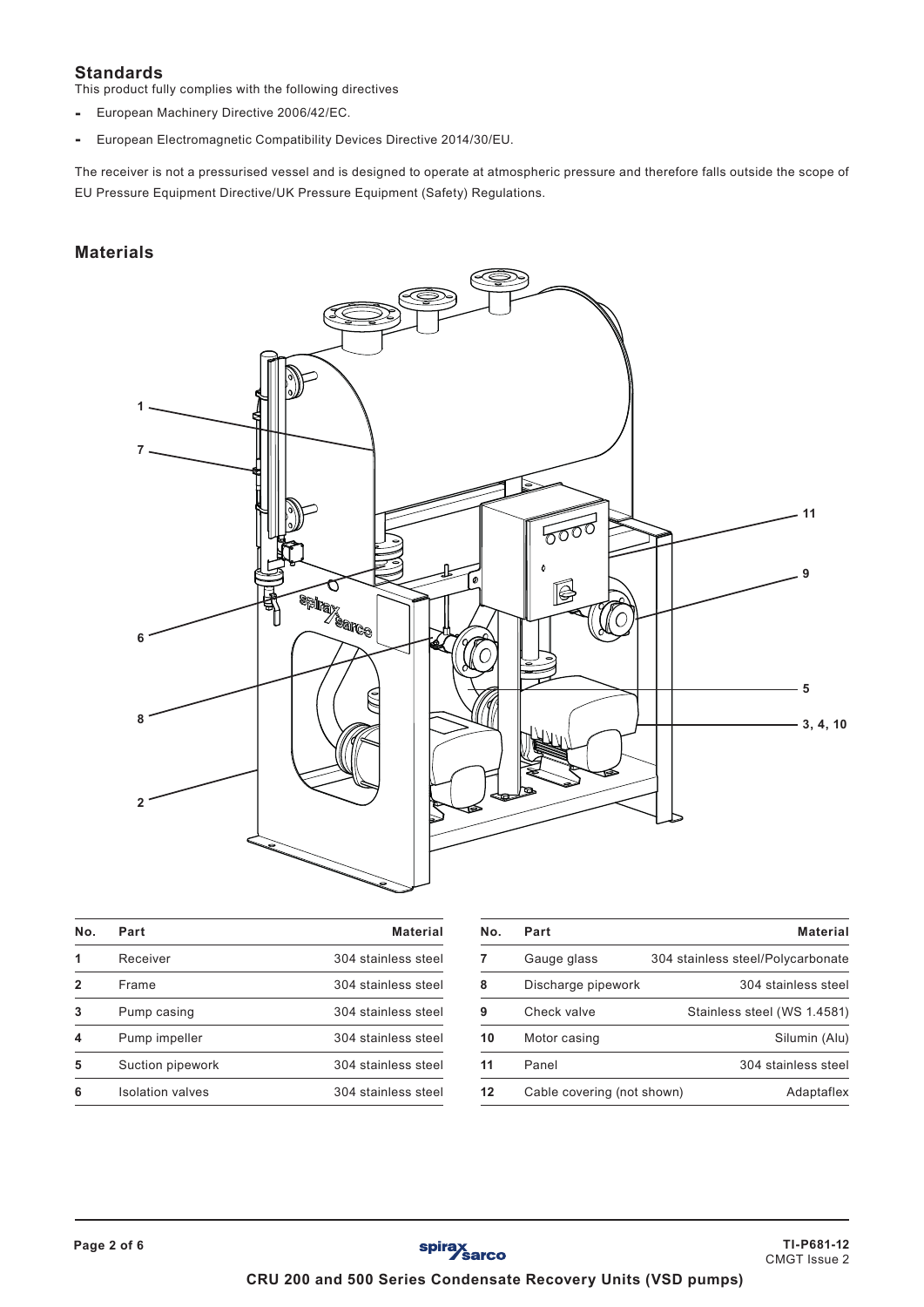# **Standards**

This product fully complies with the following directives

- European Machinery Directive 2006/42/EC.
- European Electromagnetic Compatibility Devices Directive 2014/30/EU.

The receiver is not a pressurised vessel and is designed to operate at atmospheric pressure and therefore falls outside the scope of EU Pressure Equipment Directive/UK Pressure Equipment (Safety) Regulations.

# **Materials**



| Nο. | Part                    | <b>Material</b>     |
|-----|-------------------------|---------------------|
| 1   | Receiver                | 304 stainless steel |
| 2   | Frame                   | 304 stainless steel |
| 3   | Pump casing             | 304 stainless steel |
| 4   | Pump impeller           | 304 stainless steel |
| 5   | Suction pipework        | 304 stainless steel |
| 6   | <b>Isolation valves</b> | 304 stainless steel |

| Nο. | Part                       | <b>Material</b>                   |
|-----|----------------------------|-----------------------------------|
|     | Gauge glass                | 304 stainless steel/Polycarbonate |
| 8   | Discharge pipework         | 304 stainless steel               |
| 9   | Check valve                | Stainless steel (WS 1.4581)       |
| 10  | Motor casing               | Silumin (Alu)                     |
| 11  | Panel                      | 304 stainless steel               |
| 12  | Cable covering (not shown) | Adaptaflex                        |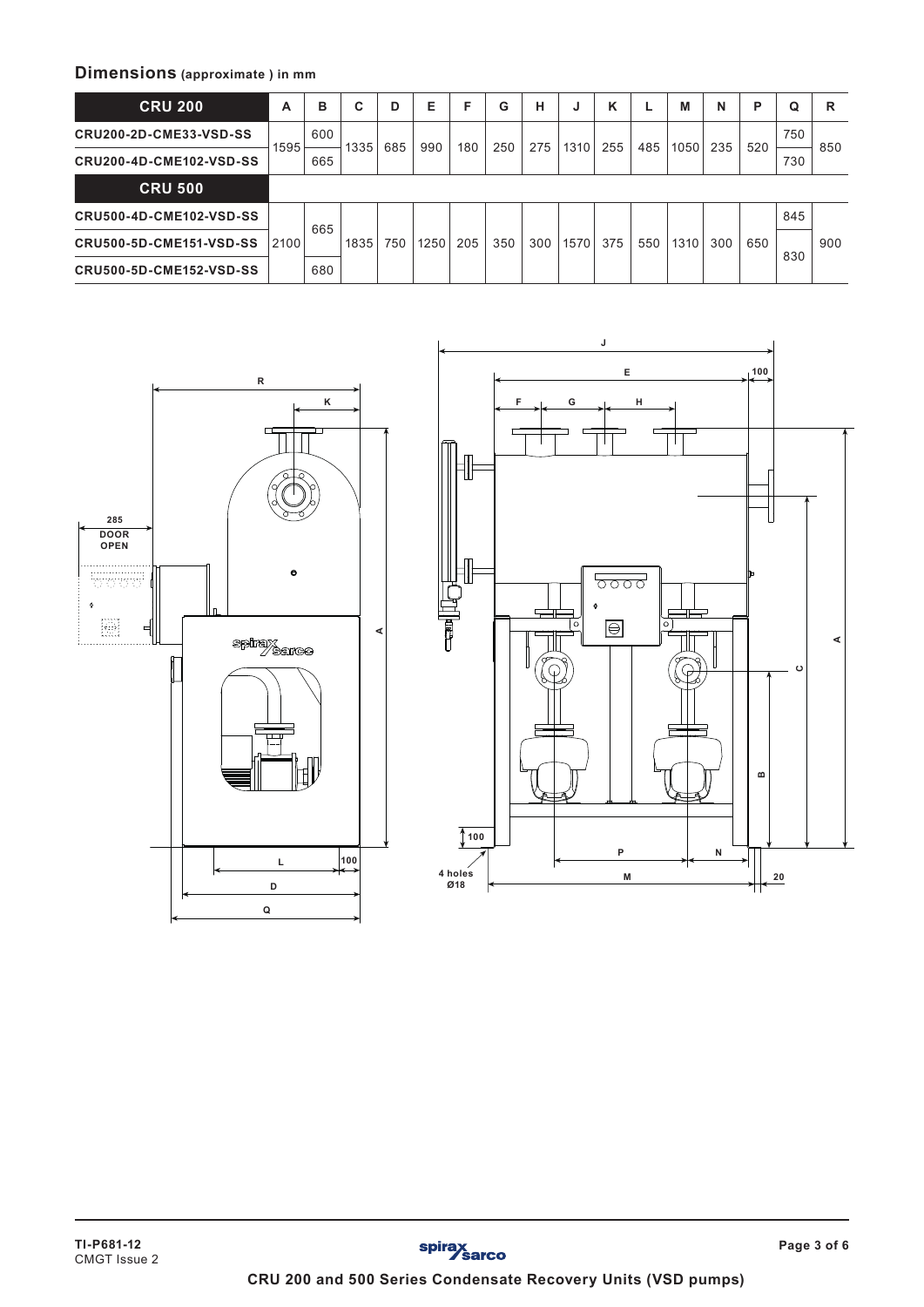# **Dimensions (approximate ) in mm**

| <b>CRU 200</b>                 | A    | в   | С    | D   | Е    | F   | G   | н   | J    | κ   |     | М    | N   | P   | Q   | R   |
|--------------------------------|------|-----|------|-----|------|-----|-----|-----|------|-----|-----|------|-----|-----|-----|-----|
| <b>CRU200-2D-CME33-VSD-SS</b>  | 1595 | 600 |      | 685 | 990  | 180 | 250 | 275 | 1310 | 255 | 485 | 1050 | 235 | 520 | 750 | 850 |
| <b>CRU200-4D-CME102-VSD-SS</b> |      | 665 | 1335 |     |      |     |     |     |      |     |     |      |     |     | 730 |     |
| <b>CRU 500</b>                 |      |     |      |     |      |     |     |     |      |     |     |      |     |     |     |     |
| <b>CRU500-4D-CME102-VSD-SS</b> |      | 665 | 1835 | 750 | 1250 | 205 | 350 | 300 | 1570 | 375 | 550 | 1310 | 300 | 650 | 845 |     |
| <b>CRU500-5D-CME151-VSD-SS</b> | 2100 |     |      |     |      |     |     |     |      |     |     |      |     |     | 830 | 900 |
| <b>CRU500-5D-CME152-VSD-SS</b> |      | 680 |      |     |      |     |     |     |      |     |     |      |     |     |     |     |



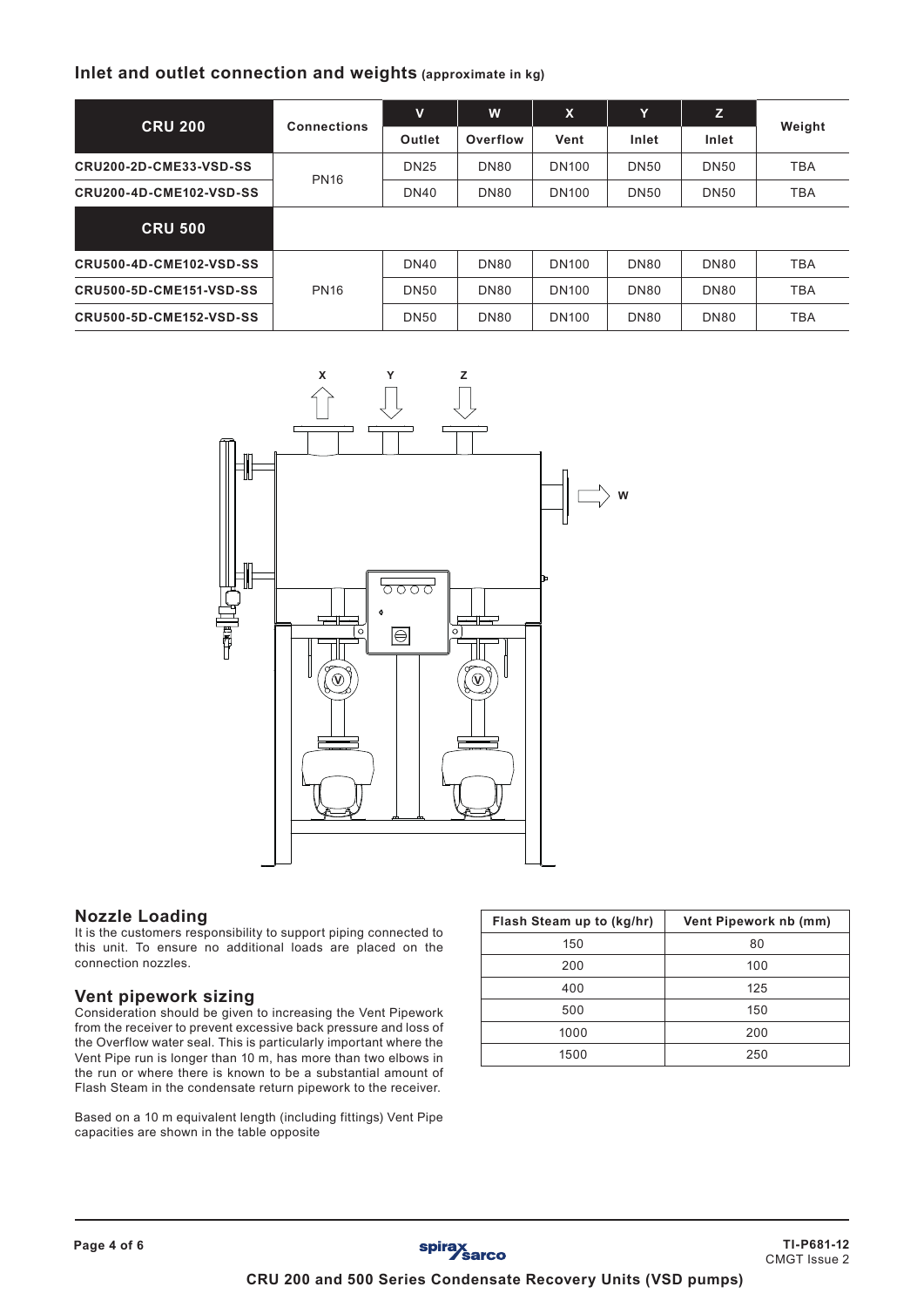# **Inlet and outlet connection and weights (approximate in kg)**

|                                | <b>Connections</b> | v           | W           | $\boldsymbol{\mathsf{x}}$ | Y           | z                | Weight     |  |
|--------------------------------|--------------------|-------------|-------------|---------------------------|-------------|------------------|------------|--|
| <b>CRU 200</b>                 |                    | Outlet      | Overflow    | Vent                      | Inlet       | Inlet            |            |  |
| <b>CRU200-2D-CME33-VSD-SS</b>  | <b>PN16</b>        | <b>DN25</b> | <b>DN80</b> | <b>DN100</b>              | <b>DN50</b> | <b>DN50</b>      | <b>TBA</b> |  |
| <b>CRU200-4D-CME102-VSD-SS</b> |                    | <b>DN40</b> | <b>DN80</b> | <b>DN100</b>              | <b>DN50</b> | <b>DN50</b>      | <b>TBA</b> |  |
| <b>CRU 500</b>                 |                    |             |             |                           |             |                  |            |  |
| <b>CRU500-4D-CME102-VSD-SS</b> |                    | <b>DN40</b> | <b>DN80</b> | <b>DN100</b>              | <b>DN80</b> | DN <sub>80</sub> | <b>TBA</b> |  |
| <b>CRU500-5D-CME151-VSD-SS</b> | <b>PN16</b>        | <b>DN50</b> | <b>DN80</b> | <b>DN100</b>              | <b>DN80</b> | <b>DN80</b>      | <b>TBA</b> |  |
| <b>CRU500-5D-CME152-VSD-SS</b> |                    | <b>DN50</b> | <b>DN80</b> | <b>DN100</b>              | <b>DN80</b> | <b>DN80</b>      | <b>TBA</b> |  |



#### **Nozzle Loading**

It is the customers responsibility to support piping connected to this unit. To ensure no additional loads are placed on the connection nozzles.

#### **Vent pipework sizing**

Consideration should be given to increasing the Vent Pipework from the receiver to prevent excessive back pressure and loss of the Overflow water seal. This is particularly important where the Vent Pipe run is longer than 10 m, has more than two elbows in the run or where there is known to be a substantial amount of Flash Steam in the condensate return pipework to the receiver.

Based on a 10 m equivalent length (including fittings) Vent Pipe capacities are shown in the table opposite

| Flash Steam up to (kg/hr) | Vent Pipework nb (mm) |
|---------------------------|-----------------------|
| 150                       | 80                    |
| 200                       | 100                   |
| 400                       | 125                   |
| 500                       | 150                   |
| 1000                      | 200                   |
| 1500                      | 250                   |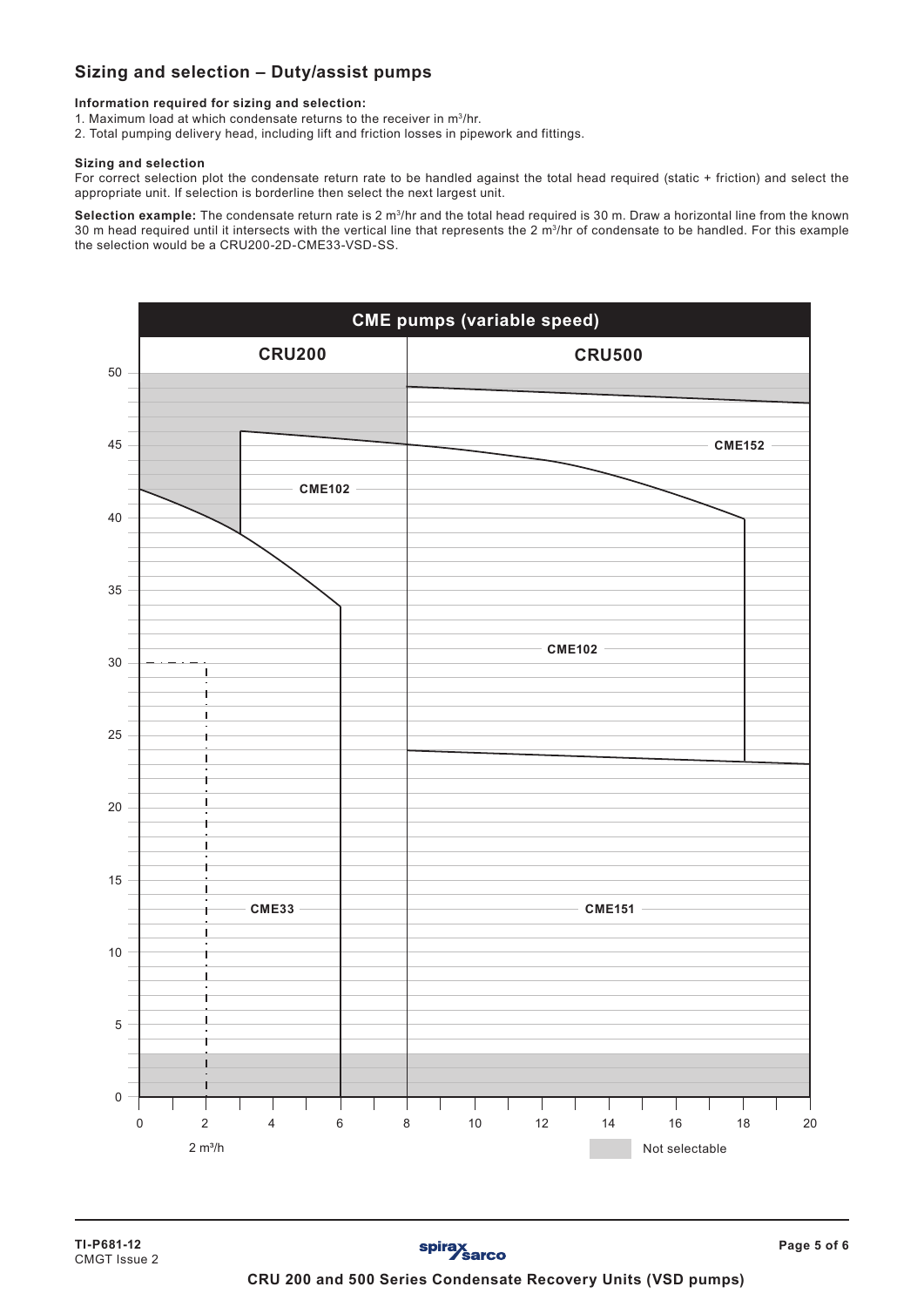# **Sizing and selection – Duty/assist pumps**

**Information required for sizing and selection:**

- 1. Maximum load at which condensate returns to the receiver in m3/hr.
- 2. Total pumping delivery head, including lift and friction losses in pipework and fittings.

#### **Sizing and selection**

For correct selection plot the condensate return rate to be handled against the total head required (static + friction) and select the appropriate unit. If selection is borderline then select the next largest unit.

**Selection example:** The condensate return rate is 2 m3/hr and the total head required is 30 m. Draw a horizontal line from the known 30 m head required until it intersects with the vertical line that represents the 2 m<sup>3</sup>/hr of condensate to be handled. For this example the selection would be a CRU200-2D-CME33-VSD-SS.